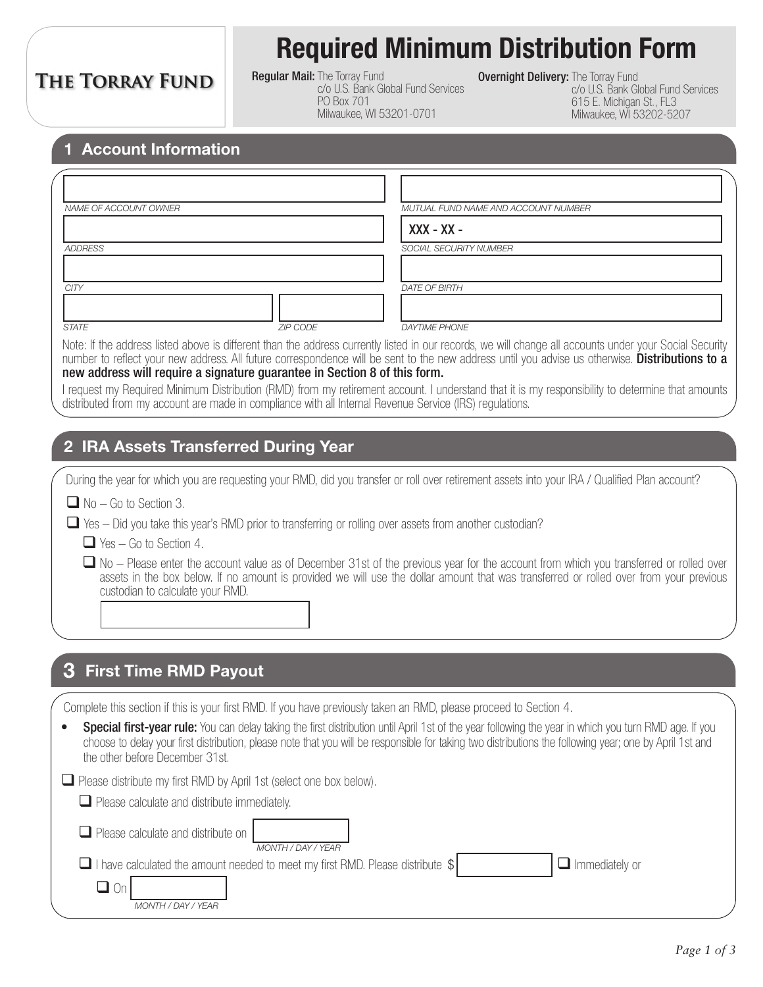## **THE TORRAY FUND**

# **Required Minimum Distribution Form**

**Regular Mail: The Torray Fund** c/o U.S. Bank Global Fund Services PO Box 701 Milwaukee, WI 53201-0701

**Overnight Delivery: The Torray Fund** 

c/o U.S. Bank Global Fund Services 615 E. Michigan St., FL3 Milwaukee, WI 53202-5207

#### **1 Account Information**

| NAME OF ACCOUNT OWNER |                 | MUTUAL FUND NAME AND ACCOUNT NUMBER |
|-----------------------|-----------------|-------------------------------------|
|                       |                 | $XXX - XX -$                        |
| <b>ADDRESS</b>        |                 | SOCIAL SECURITY NUMBER              |
| <b>CITY</b>           |                 | <b>DATE OF BIRTH</b>                |
|                       |                 |                                     |
| <b>STATE</b>          | <b>ZIP CODE</b> | <b>DAYTIME PHONE</b>                |

Note: If the address listed above is different than the address currently listed in our records, we will change all accounts under your Social Security number to reflect your new address. All future correspondence will be sent to the new address until you advise us otherwise. Distributions to a new address will require a signature guarantee in Section 8 of this form.

I request my Required Minimum Distribution (RMD) from my retirement account. I understand that it is my responsibility to determine that amounts distributed from my account are made in compliance with all Internal Revenue Service (IRS) regulations.

#### **2 IRA Assets Transferred During Year**

During the year for which you are requesting your RMD, did you transfer or roll over retirement assets into your IRA / Qualified Plan account?

 $\Box$  No – Go to Section 3.

 $\Box$  Yes – Did you take this year's RMD prior to transferring or rolling over assets from another custodian?

 $\Box$  Yes – Go to Section 4.

 $\Box$  No – Please enter the account value as of December 31st of the previous year for the account from which you transferred or rolled over assets in the box below. If no amount is provided we will use the dollar amount that was transferred or rolled over from your previous custodian to calculate your RMD.

#### **3 First Time RMD Payout**

Complete this section if this is your first RMD. If you have previously taken an RMD, please proceed to Section 4.

| • Special first-year rule: You can delay taking the first distribution until April 1st of the year following the year in which you turn RMD age. If you |
|---------------------------------------------------------------------------------------------------------------------------------------------------------|
| choose to delay your first distribution, please note that you will be responsible for taking two distributions the following year; one by April 1st and |
| the other before December 31st.                                                                                                                         |

Please distribute my first RMD by April 1st (select one box below).

| $\Box$ Please calculate and distribute immediately. |  |
|-----------------------------------------------------|--|
|-----------------------------------------------------|--|

 $\Box$  Please calculate and distribute on

 $\Box$  I have calculated the amount needed to meet my first RMD. Please distribute  $\$\Box$  Immediately or *MONTH / DAY / YEAR*

|  | $\blacksquare$ Immediately or |  |  |
|--|-------------------------------|--|--|
|--|-------------------------------|--|--|

| U |                       |
|---|-----------------------|
|   | MONTH / DAY / `<br>AН |

*MONTH / DAY / YEAR*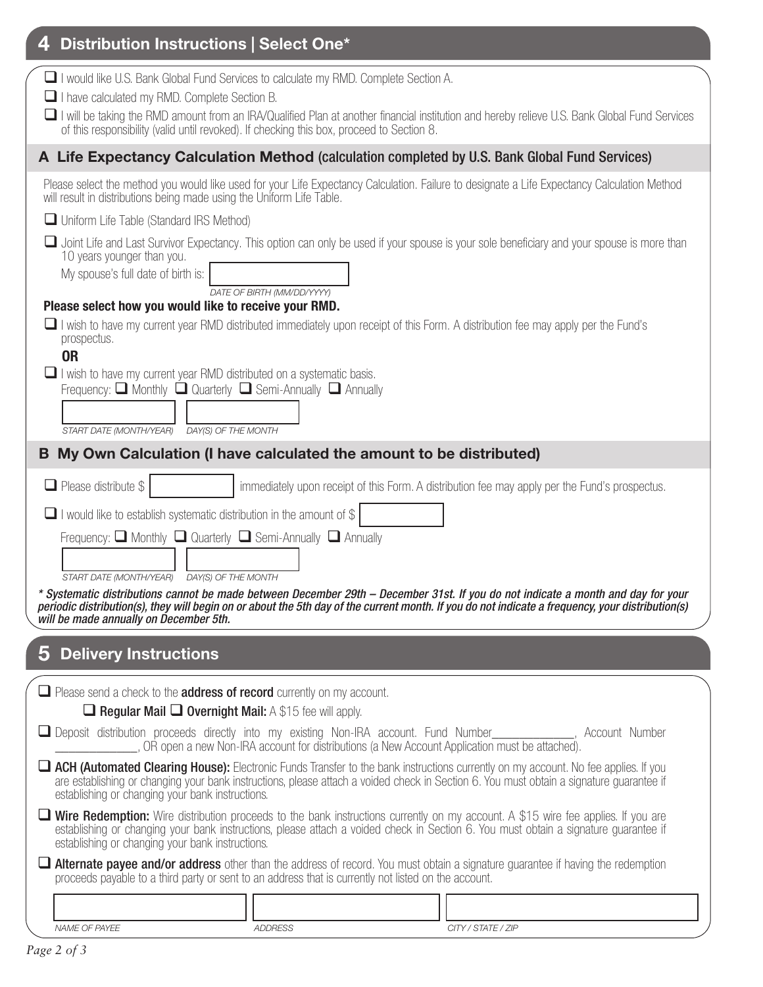| Distribution Instructions   Select One*                                                                                                                                                                                                                                                                                                                                             |
|-------------------------------------------------------------------------------------------------------------------------------------------------------------------------------------------------------------------------------------------------------------------------------------------------------------------------------------------------------------------------------------|
| I would like U.S. Bank Global Fund Services to calculate my RMD. Complete Section A.<br>I have calculated my RMD. Complete Section B.<br>I will be taking the RMD amount from an IRA/Qualified Plan at another financial institution and hereby relieve U.S. Bank Global Fund Services<br>of this responsibility (valid until revoked). If checking this box, proceed to Section 8. |
| A Life Expectancy Calculation Method (calculation completed by U.S. Bank Global Fund Services)                                                                                                                                                                                                                                                                                      |
| Please select the method you would like used for your Life Expectancy Calculation. Failure to designate a Life Expectancy Calculation Method<br>will result in distributions being made using the Uniform Life Table.                                                                                                                                                               |
| Uniform Life Table (Standard IRS Method)                                                                                                                                                                                                                                                                                                                                            |
| Joint Life and Last Survivor Expectancy. This option can only be used if your spouse is your sole beneficiary and your spouse is more than<br>10 years younger than you.<br>My spouse's full date of birth is:                                                                                                                                                                      |
| DATE OF BIRTH (MM/DD/YYYY)<br>Please select how you would like to receive your RMD.                                                                                                                                                                                                                                                                                                 |
| $\Box$ I wish to have my current year RMD distributed immediately upon receipt of this Form. A distribution fee may apply per the Fund's<br>prospectus.<br><b>OR</b>                                                                                                                                                                                                                |
| $\Box$ I wish to have my current year RMD distributed on a systematic basis.<br>Frequency: $\Box$ Monthly $\Box$ Quarterly $\Box$ Semi-Annually $\Box$ Annually<br>START DATE (MONTH/YEAR)<br>DAY(S) OF THE MONTH                                                                                                                                                                   |
| My Own Calculation (I have calculated the amount to be distributed)<br>B                                                                                                                                                                                                                                                                                                            |
| $\Box$ Please distribute \$<br>immediately upon receipt of this Form. A distribution fee may apply per the Fund's prospectus.                                                                                                                                                                                                                                                       |
| $\Box$ I would like to establish systematic distribution in the amount of \$                                                                                                                                                                                                                                                                                                        |
| Frequency: $\Box$ Monthly $\Box$ Quarterly $\Box$ Semi-Annually $\Box$ Annually                                                                                                                                                                                                                                                                                                     |
| START DATE (MONTH/YEAR) DAY(S) OF THE MONTH<br>* Systematic distributions cannot be made between December 29th - December 31st. If you do not indicate a month and day for your                                                                                                                                                                                                     |
| periodic distribution(s), they will begin on or about the 5th day of the current month. If you do not indicate a frequency, your distribution(s)<br>will be made annually on December 5th.                                                                                                                                                                                          |
|                                                                                                                                                                                                                                                                                                                                                                                     |
| 5 Delivery Instructions                                                                                                                                                                                                                                                                                                                                                             |
| $\Box$ Please send a check to the <b>address of record</b> currently on my account.<br>$\Box$ Regular Mail $\Box$ Overnight Mail: A \$15 fee will apply.                                                                                                                                                                                                                            |
| Deposit distribution proceeds directly into my existing Non-IRA account. Fund Number___________, Account Number<br>OR open a new Non-IRA account for distributions (a New Account Application must be attached).                                                                                                                                                                    |
| <b>Lach (Automated Clearing House):</b> Electronic Funds Transfer to the bank instructions currently on my account. No fee applies. If you<br>are establishing or changing your bank instructions, please attach a voided check in Section 6. You must obtain a signature guarantee if<br>establishing or changing your bank instructions.                                          |
| <b>T</b> Wire Redemption: Wire distribution proceeds to the bank instructions currently on my account. A \$15 wire fee applies. If you are<br>establishing or changing your bank instructions, please attach a voided check in Section 6. You must obtain a signature guarantee if<br>establishing or changing your bank instructions.                                              |
| <b>Alternate payee and/or address</b> other than the address of record. You must obtain a signature guarantee if having the redemption<br>proceeds payable to a third party or sent to an address that is currently not listed on the account.                                                                                                                                      |
|                                                                                                                                                                                                                                                                                                                                                                                     |
| NAME OF PAYEE<br>CITY / STATE / ZIP<br><b>ADDRESS</b>                                                                                                                                                                                                                                                                                                                               |